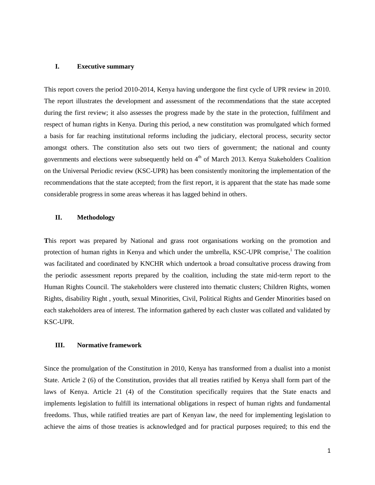#### **I. Executive summary**

This report covers the period 2010-2014, Kenya having undergone the first cycle of UPR review in 2010. The report illustrates the development and assessment of the recommendations that the state accepted during the first review; it also assesses the progress made by the state in the protection, fulfilment and respect of human rights in Kenya. During this period, a new constitution was promulgated which formed a basis for far reaching institutional reforms including the judiciary, electoral process, security sector amongst others. The constitution also sets out two tiers of government; the national and county governments and elections were subsequently held on 4<sup>th</sup> of March 2013. Kenya Stakeholders Coalition on the Universal Periodic review (KSC-UPR) has been consistently monitoring the implementation of the recommendations that the state accepted; from the first report, it is apparent that the state has made some considerable progress in some areas whereas it has lagged behind in others.

# **II. Methodology**

**T**his report was prepared by National and grass root organisations working on the promotion and protection of human rights in Kenya and which under the umbrella, KSC-UPR comprise,<sup>1</sup> The coalition was facilitated and coordinated by KNCHR which undertook a broad consultative process drawing from the periodic assessment reports prepared by the coalition, including the state mid-term report to the Human Rights Council. The stakeholders were clustered into thematic clusters; Children Rights, women Rights, disability Right , youth, sexual Minorities, Civil, Political Rights and Gender Minorities based on each stakeholders area of interest. The information gathered by each cluster was collated and validated by KSC-UPR.

#### **III. Normative framework**

Since the promulgation of the Constitution in 2010, Kenya has transformed from a dualist into a monist State. Article 2 (6) of the Constitution, provides that all treaties ratified by Kenya shall form part of the laws of Kenya. Article 21 (4) of the Constitution specifically requires that the State enacts and implements legislation to fulfill its international obligations in respect of human rights and fundamental freedoms. Thus, while ratified treaties are part of Kenyan law, the need for implementing legislation to achieve the aims of those treaties is acknowledged and for practical purposes required; to this end the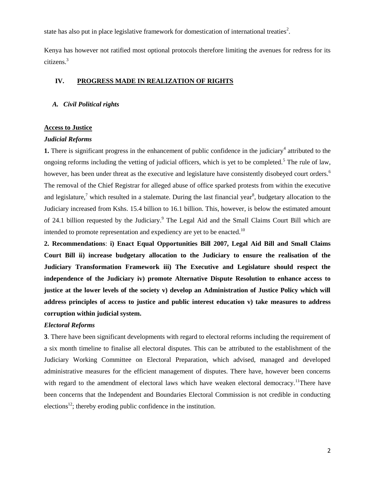state has also put in place legislative framework for domestication of international treaties<sup>2</sup>.

Kenya has however not ratified most optional protocols therefore limiting the avenues for redress for its citizens.<sup>3</sup>

# **IV. PROGRESS MADE IN REALIZATION OF RIGHTS**

# *A. Civil Political rights*

#### **Access to Justice**

#### *Judicial Reforms*

**1.** There is significant progress in the enhancement of public confidence in the judiciary<sup>4</sup> attributed to the ongoing reforms including the vetting of judicial officers, which is yet to be completed.<sup>5</sup> The rule of law, however, has been under threat as the executive and legislature have consistently disobeyed court orders.<sup>6</sup> The removal of the Chief Registrar for alleged abuse of office sparked protests from within the executive and legislature,<sup>7</sup> which resulted in a stalemate. During the last financial year<sup>8</sup>, budgetary allocation to the Judiciary increased from Kshs. 15.4 billion to 16.1 billion. This, however, is below the estimated amount of 24.1 billion requested by the Judiciary.<sup>9</sup> The Legal Aid and the Small Claims Court Bill which are intended to promote representation and expediency are yet to be enacted.<sup>10</sup>

**2. Recommendations**: **i) Enact Equal Opportunities Bill 2007, Legal Aid Bill and Small Claims Court Bill ii) increase budgetary allocation to the Judiciary to ensure the realisation of the Judiciary Transformation Framework iii) The Executive and Legislature should respect the independence of the Judiciary iv) promote Alternative Dispute Resolution to enhance access to justice at the lower levels of the society v) develop an Administration of Justice Policy which will address principles of access to justice and public interest education v) take measures to address corruption within judicial system.**

#### *Electoral Reforms*

**3**. There have been significant developments with regard to electoral reforms including the requirement of a six month timeline to finalise all electoral disputes. This can be attributed to the establishment of the Judiciary Working Committee on Electoral Preparation, which advised, managed and developed administrative measures for the efficient management of disputes. There have, however been concerns with regard to the amendment of electoral laws which have weaken electoral democracy.<sup>11</sup>There have been concerns that the Independent and Boundaries Electoral Commission is not credible in conducting elections<sup>12</sup>; thereby eroding public confidence in the institution.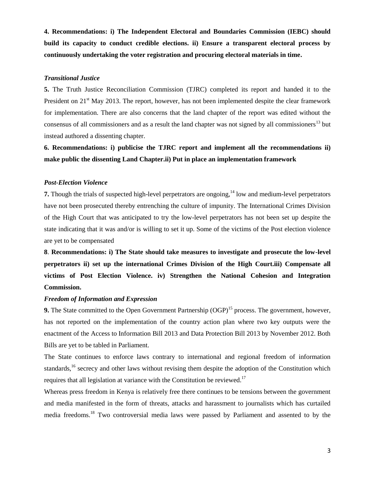**4. Recommendations: i) The Independent Electoral and Boundaries Commission (IEBC) should build its capacity to conduct credible elections. ii) Ensure a transparent electoral process by continuously undertaking the voter registration and procuring electoral materials in time.**

#### *Transitional Justice*

**5.** The Truth Justice Reconciliation Commission (TJRC) completed its report and handed it to the President on 21<sup>st</sup> May 2013. The report, however, has not been implemented despite the clear framework for implementation. There are also concerns that the land chapter of the report was edited without the consensus of all commissioners and as a result the land chapter was not signed by all commissioners<sup>13</sup> but instead authored a dissenting chapter.

**6. Recommendations: i) publicise the TJRC report and implement all the recommendations ii) make public the dissenting Land Chapter.ii) Put in place an implementation framework** 

#### *Post-Election Violence*

**7.** Though the trials of suspected high-level perpetrators are ongoing,<sup>14</sup> low and medium-level perpetrators have not been prosecuted thereby entrenching the culture of impunity. The International Crimes Division of the High Court that was anticipated to try the low-level perpetrators has not been set up despite the state indicating that it was and/or is willing to set it up. Some of the victims of the Post election violence are yet to be compensated

**8**. **Recommendations: i) The State should take measures to investigate and prosecute the low-level perpetrators ii) set up the international Crimes Division of the High Court.iii) Compensate all victims of Post Election Violence. iv) Strengthen the National Cohesion and Integration Commission.**

#### *Freedom of Information and Expression*

**9.** The State committed to the Open Government Partnership (OGP)<sup>15</sup> process. The government, however, has not reported on the implementation of the country action plan where two key outputs were the enactment of the Access to Information Bill 2013 and Data Protection Bill 2013 by November 2012. Both Bills are yet to be tabled in Parliament.

The State continues to enforce laws contrary to international and regional freedom of information standards,<sup>16</sup> secrecy and other laws without revising them despite the adoption of the Constitution which requires that all legislation at variance with the Constitution be reviewed.<sup>17</sup>

Whereas press freedom in Kenya is relatively free there continues to be tensions between the government and media manifested in the form of threats, attacks and harassment to journalists which has curtailed media freedoms.<sup>18</sup> Two controversial media laws were passed by Parliament and assented to by the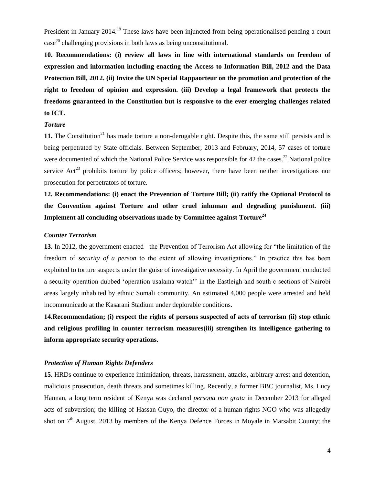President in January 2014.<sup>19</sup> These laws have been injuncted from being operationalised pending a court  $case<sup>20</sup>$  challenging provisions in both laws as being unconstitutional.

**10. Recommendations: (i) review all laws in line with international standards on freedom of expression and information including enacting the Access to Information Bill, 2012 and the Data Protection Bill, 2012. (ii) Invite the UN Special Rappaorteur on the promotion and protection of the right to freedom of opinion and expression. (iii) Develop a legal framework that protects the freedoms guaranteed in the Constitution but is responsive to the ever emerging challenges related to ICT.** 

#### *Torture*

11. The Constitution<sup>21</sup> has made torture a non-derogable right. Despite this, the same still persists and is being perpetrated by State officials. Between September, 2013 and February, 2014, 57 cases of torture were documented of which the National Police Service was responsible for 42 the cases.<sup>22</sup> National police service  $\text{Act}^{23}$  prohibits torture by police officers; however, there have been neither investigations nor prosecution for perpetrators of torture.

**12. Recommendations: (i) enact the Prevention of Torture Bill; (ii) ratify the Optional Protocol to the Convention against Torture and other cruel inhuman and degrading punishment. (iii) Implement all concluding observations made by Committee against Torture<sup>24</sup>**

# *Counter Terrorism*

**13.** In 2012, the government enacted the Prevention of Terrorism Act allowing for "the limitation of the freedom of *security of a person* to the extent of allowing investigations." In practice this has been exploited to torture suspects under the guise of investigative necessity. In April the government conducted a security operation dubbed 'operation usalama watch'' in the Eastleigh and south c sections of Nairobi areas largely inhabited by ethnic Somali community. An estimated 4,000 people were arrested and held incommunicado at the Kasarani Stadium under deplorable conditions.

**14.Recommendation; (i) respect the rights of persons suspected of acts of terrorism (ii) stop ethnic and religious profiling in counter terrorism measures(iii) strengthen its intelligence gathering to inform appropriate security operations.**

#### *Protection of Human Rights Defenders*

**15.** HRDs continue to experience intimidation, threats, harassment, attacks, arbitrary arrest and detention, malicious prosecution, death threats and sometimes killing. Recently, a former BBC journalist, Ms. Lucy Hannan, a long term resident of Kenya was declared *persona non grata* in December 2013 for alleged acts of subversion; the killing of Hassan Guyo, the director of a human rights NGO who was allegedly shot on  $7<sup>th</sup>$  August, 2013 by members of the Kenya Defence Forces in Moyale in Marsabit County; the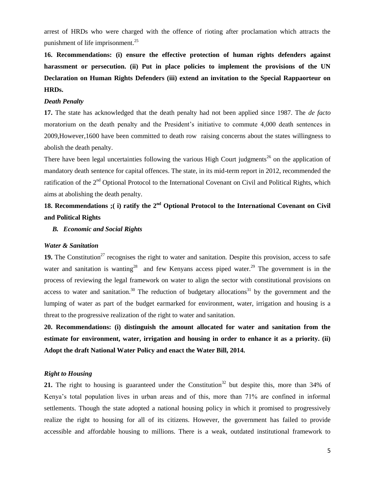arrest of HRDs who were charged with the offence of rioting after proclamation which attracts the punishment of life imprisonment.<sup>25</sup>

**16. Recommendations: (i) ensure the effective protection of human rights defenders against harassment or persecution. (ii) Put in place policies to implement the provisions of the UN Declaration on Human Rights Defenders (iii) extend an invitation to the Special Rappaorteur on HRDs.** 

#### *Death Penalty*

**17.** The state has acknowledged that the death penalty had not been applied since 1987. The *de facto* moratorium on the death penalty and the President's initiative to commute 4,000 death sentences in 2009,However,1600 have been committed to death row raising concerns about the states willingness to abolish the death penalty.

There have been legal uncertainties following the various High Court judgments<sup>26</sup> on the application of mandatory death sentence for capital offences. The state, in its mid-term report in 2012, recommended the ratification of the 2<sup>nd</sup> Optional Protocol to the International Covenant on Civil and Political Rights, which aims at abolishing the death penalty.

# **18. Recommendations ;( i) ratify the 2nd Optional Protocol to the International Covenant on Civil and Political Rights**

# *B. Economic and Social Rights*

#### *Water & Sanitation*

**19.** The Constitution<sup>27</sup> recognises the right to water and sanitation. Despite this provision, access to safe water and sanitation is wanting<sup>28</sup> and few Kenyans access piped water.<sup>29</sup> The government is in the process of reviewing the legal framework on water to align the sector with constitutional provisions on access to water and sanitation.<sup>30</sup> The reduction of budgetary allocations<sup>31</sup> by the government and the lumping of water as part of the budget earmarked for environment, water, irrigation and housing is a threat to the progressive realization of the right to water and sanitation.

**20. Recommendations: (i) distinguish the amount allocated for water and sanitation from the estimate for environment, water, irrigation and housing in order to enhance it as a priority. (ii) Adopt the draft National Water Policy and enact the Water Bill, 2014.** 

# *Right to Housing*

**21.** The right to housing is guaranteed under the Constitution<sup>32</sup> but despite this, more than  $34\%$  of Kenya's total population lives in urban areas and of this, more than 71% are confined in informal settlements. Though the state adopted a national housing policy in which it promised to progressively realize the right to housing for all of its citizens. However, the government has failed to provide accessible and affordable housing to millions. There is a weak, outdated institutional framework to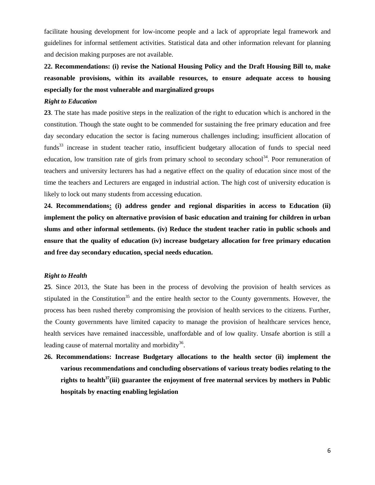facilitate housing development for low-income people and a lack of appropriate legal framework and guidelines for informal settlement activities. Statistical data and other information relevant for planning and decision making purposes are not available.

# **22. Recommendations: (i) revise the National Housing Policy and the Draft Housing Bill to, make reasonable provisions, within its available resources, to ensure adequate access to housing especially for the most vulnerable and marginalized groups**

#### *Right to Education*

**23**. The state has made positive steps in the realization of the right to education which is anchored in the constitution. Though the state ought to be commended for sustaining the free primary education and free day secondary education the sector is facing numerous challenges including; insufficient allocation of funds<sup>33</sup> increase in student teacher ratio, insufficient budgetary allocation of funds to special need education, low transition rate of girls from primary school to secondary school<sup>34</sup>. Poor remuneration of teachers and university lecturers has had a negative effect on the quality of education since most of the time the teachers and Lecturers are engaged in industrial action. The high cost of university education is likely to lock out many students from accessing education.

**24. Recommendations: (i) address gender and regional disparities in access to Education (ii) implement the policy on alternative provision of basic education and training for children in urban slums and other informal settlements. (iv) Reduce the student teacher ratio in public schools and ensure that the quality of education (iv) increase budgetary allocation for free primary education and free day secondary education, special needs education.**

## *Right to Health*

**25**. Since 2013, the State has been in the process of devolving the provision of health services as stipulated in the Constitution<sup>35</sup> and the entire health sector to the County governments. However, the process has been rushed thereby compromising the provision of health services to the citizens. Further, the County governments have limited capacity to manage the provision of healthcare services hence, health services have remained inaccessible, unaffordable and of low quality. Unsafe abortion is still a leading cause of maternal mortality and morbidity<sup>36</sup>.

**26. Recommendations: Increase Budgetary allocations to the health sector (ii) implement the various recommendations and concluding observations of various treaty bodies relating to the rights to health<sup>37</sup>(iii) guarantee the enjoyment of free maternal services by mothers in Public hospitals by enacting enabling legislation**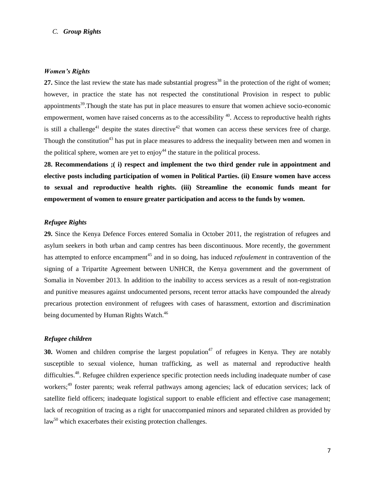## *C. Group Rights*

#### *Women's Rights*

27. Since the last review the state has made substantial progress<sup>38</sup> in the protection of the right of women; however, in practice the state has not respected the constitutional Provision in respect to public appointments<sup>39</sup>. Though the state has put in place measures to ensure that women achieve socio-economic empowerment, women have raised concerns as to the accessibility <sup>40</sup>. Access to reproductive health rights is still a challenge<sup>41</sup> despite the states directive<sup>42</sup> that women can access these services free of charge. Though the constitution<sup>43</sup> has put in place measures to address the inequality between men and women in the political sphere, women are yet to  $enjoy<sup>44</sup>$  the stature in the political process.

**28. Recommendations ;( i) respect and implement the two third gender rule in appointment and elective posts including participation of women in Political Parties. (ii) Ensure women have access to sexual and reproductive health rights. (iii) Streamline the economic funds meant for empowerment of women to ensure greater participation and access to the funds by women.**

#### *Refugee Rights*

**29.** Since the Kenya Defence Forces entered Somalia in October 2011, the registration of refugees and asylum seekers in both urban and camp centres has been discontinuous. More recently, the government has attempted to enforce encampment<sup>45</sup> and in so doing, has induced *refoulement* in contravention of the signing of a Tripartite Agreement between UNHCR, the Kenya government and the government of Somalia in November 2013. In addition to the inability to access services as a result of non-registration and punitive measures against undocumented persons, recent terror attacks have compounded the already precarious protection environment of refugees with cases of harassment, extortion and discrimination being documented by Human Rights Watch.<sup>46</sup>

#### *Refugee children*

**30.** Women and children comprise the largest population<sup>47</sup> of refugees in Kenya. They are notably susceptible to sexual violence, human trafficking, as well as maternal and reproductive health difficulties.<sup>48</sup>. Refugee children experience specific protection needs including inadequate number of case workers;<sup>49</sup> foster parents; weak referral pathways among agencies; lack of education services; lack of satellite field officers; inadequate logistical support to enable efficient and effective case management; lack of recognition of tracing as a right for unaccompanied minors and separated children as provided by  $law<sup>50</sup>$  which exacerbates their existing protection challenges.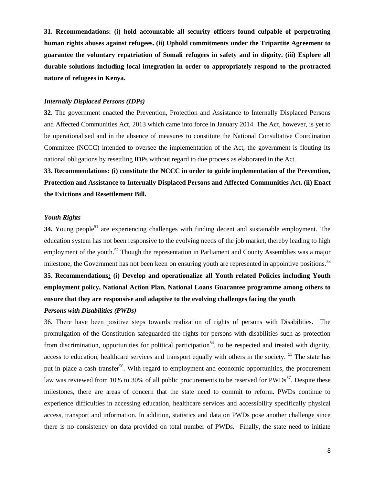**31. Recommendations: (i) hold accountable all security officers found culpable of perpetrating human rights abuses against refugees. (ii) Uphold commitments under the Tripartite Agreement to guarantee the voluntary repatriation of Somali refugees in safety and in dignity. (iii) Explore all durable solutions including local integration in order to appropriately respond to the protracted nature of refugees in Kenya.**

# *Internally Displaced Persons (IDPs)*

**32**. The government enacted the Prevention, Protection and Assistance to Internally Displaced Persons and Affected Communities Act, 2013 which came into force in January 2014. The Act, however, is yet to be operationalised and in the absence of measures to constitute the National Consultative Coordination Committee (NCCC) intended to oversee the implementation of the Act, the government is flouting its national obligations by resettling IDPs without regard to due process as elaborated in the Act.

**33. Recommendations: (i) constitute the NCCC in order to guide implementation of the Prevention, Protection and Assistance to Internally Displaced Persons and Affected Communities Act. (ii) Enact the Evictions and Resettlement Bill.**

# *Youth Rights*

**34.** Young people<sup>51</sup> are experiencing challenges with finding decent and sustainable employment. The education system has not been responsive to the evolving needs of the job market, thereby leading to high employment of the youth.<sup>52</sup> Though the representation in Parliament and County Assemblies was a major milestone, the Government has not been keen on ensuring youth are represented in appointive positions.<sup>53</sup> **35. Recommendations: (i) Develop and operationalize all Youth related Policies including Youth employment policy, National Action Plan, National Loans Guarantee programme among others to** 

## **ensure that they are responsive and adaptive to the evolving challenges facing the youth**

#### *Persons with Disabilities (PWDs)*

36. There have been positive steps towards realization of rights of persons with Disabilities. The promulgation of the Constitution safeguarded the rights for persons with disabilities such as protection from discrimination, opportunities for political participation<sup>54</sup>, to be respected and treated with dignity, access to education, healthcare services and transport equally with others in the society. <sup>55</sup> The state has put in place a cash transfer<sup>56</sup>. With regard to employment and economic opportunities, the procurement law was reviewed from 10% to 30% of all public procurements to be reserved for  $\text{PWDs}^{57}$ . Despite these milestones, there are areas of concern that the state need to commit to reform. PWDs continue to experience difficulties in accessing education, healthcare services and accessibility specifically physical access, transport and information. In addition, statistics and data on PWDs pose another challenge since there is no consistency on data provided on total number of PWDs. Finally, the state need to initiate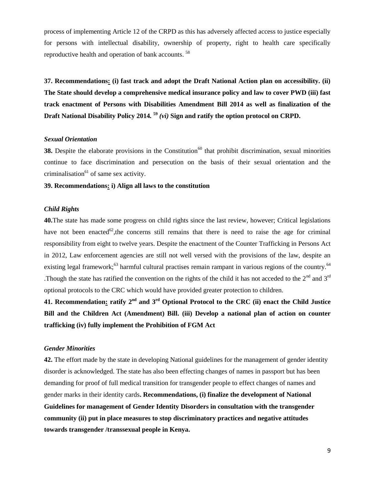process of implementing Article 12 of the CRPD as this has adversely affected access to justice especially for persons with intellectual disability, ownership of property, right to health care specifically reproductive health and operation of bank accounts.<sup>58</sup>

**37. Recommendations: (i) fast track and adopt the Draft National Action plan on accessibility. (ii) The State should develop a comprehensive medical insurance policy and law to cover PWD (iii) fast track enactment of Persons with Disabilities Amendment Bill 2014 as well as finalization of the Draft National Disability Policy 2014***.*  **<sup>59</sup>** *(vi)* **Sign and ratify the option protocol on CRPD.**

#### *Sexual Orientation*

**38.** Despite the elaborate provisions in the Constitution<sup>60</sup> that prohibit discrimination, sexual minorities continue to face discrimination and persecution on the basis of their sexual orientation and the criminalisation $^{61}$  of same sex activity.

# **39. Recommendations: i) Align all laws to the constitution**

# *Child Rights*

**40.**The state has made some progress on child rights since the last review, however; Critical legislations have not been enacted<sup>62</sup>, the concerns still remains that there is need to raise the age for criminal responsibility from eight to twelve years. Despite the enactment of the Counter Trafficking in Persons Act in 2012, Law enforcement agencies are still not well versed with the provisions of the law, despite an existing legal framework;<sup>63</sup> harmful cultural practises remain rampant in various regions of the country.<sup>64</sup> .Though the state has ratified the convention on the rights of the child it has not acceded to the  $2<sup>nd</sup>$  and  $3<sup>rd</sup>$ optional protocols to the CRC which would have provided greater protection to children.

**41. Recommendation: ratify 2nd and 3rd Optional Protocol to the CRC (ii) enact the Child Justice Bill and the Children Act (Amendment) Bill. (iii) Develop a national plan of action on counter trafficking (iv) fully implement the Prohibition of FGM Act**

#### *Gender Minorities*

**42.** The effort made by the state in developing National guidelines for the management of gender identity disorder is acknowledged. The state has also been effecting changes of names in passport but has been demanding for proof of full medical transition for transgender people to effect changes of names and gender marks in their identity cards**. Recommendations, (i) finalize the development of National Guidelines for management of Gender Identity Disorders in consultation with the transgender community (ii) put in place measures to stop discriminatory practices and negative attitudes towards transgender /transsexual people in Kenya.**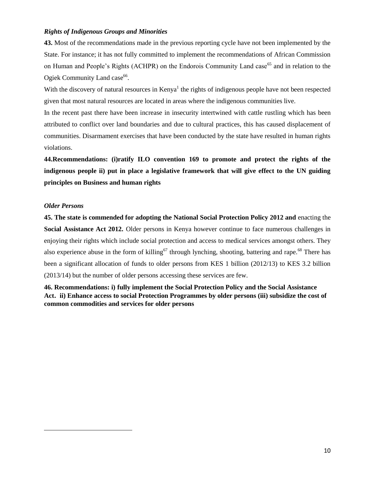# *Rights of Indigenous Groups and Minorities*

**43.** Most of the recommendations made in the previous reporting cycle have not been implemented by the State. For instance; it has not fully committed to implement the recommendations of African Commission on Human and People's Rights (ACHPR) on the Endorois Community Land case<sup>65</sup> and in relation to the Ogiek Community Land case<sup>66</sup>.

With the discovery of natural resources in Kenya<sup>1</sup> the rights of indigenous people have not been respected given that most natural resources are located in areas where the indigenous communities live.

In the recent past there have been increase in insecurity intertwined with cattle rustling which has been attributed to conflict over land boundaries and due to cultural practices, this has caused displacement of communities. Disarmament exercises that have been conducted by the state have resulted in human rights violations.

**44.Recommendations: (i)ratify ILO convention 169 to promote and protect the rights of the indigenous people ii) put in place a legislative framework that will give effect to the UN guiding principles on Business and human rights**

## *Older Persons*

 $\overline{\phantom{a}}$ 

**45. The state is commended for adopting the National Social Protection Policy 2012 and** enacting the **Social Assistance Act 2012.** Older persons in Kenya however continue to face numerous challenges in enjoying their rights which include social protection and access to medical services amongst others. They also experience abuse in the form of killing<sup>67</sup> through lynching, shooting, battering and rape.<sup>68</sup> There has been a significant allocation of funds to older persons from KES 1 billion (2012/13) to KES 3.2 billion (2013/14) but the number of older persons accessing these services are few.

**46. Recommendations: i) fully implement the Social Protection Policy and the Social Assistance Act. ii) Enhance access to social Protection Programmes by older persons (iii) subsidize the cost of common commodities and services for older persons**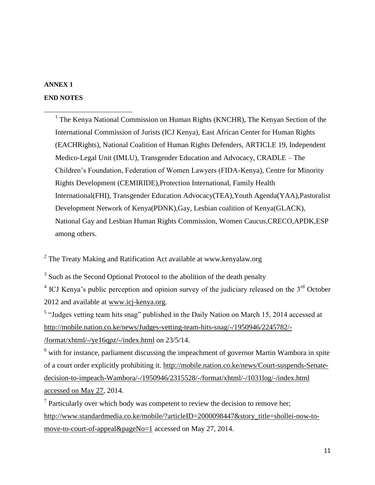# **ANNEX 1**

 $\overline{\phantom{a}}$ 

# **END NOTES**

<sup>1</sup> The Kenya National Commission on Human Rights (KNCHR), The Kenyan Section of the International Commission of Jurists (ICJ Kenya), East African Center for Human Rights (EACHRights), National Coalition of Human Rights Defenders, ARTICLE 19, Independent Medico-Legal Unit (IMLU), Transgender Education and Advocacy, CRADLE – The Children's Foundation, Federation of Women Lawyers (FIDA-Kenya), Centre for Minority Rights Development (CEMIRIDE),Protection International, Family Health International(FHI), Transgender Education Advocacy(TEA),Youth Agenda(YAA),Pastoralist Development Network of Kenya(PDNK),Gay, Lesbian coalition of Kenya(GLACK), National Gay and Lesbian Human Rights Commission, Women Caucus,CRECO,APDK,ESP among others.

<sup>2</sup> The Treaty Making and Ratification Act available at www.kenyalaw.org

<sup>3</sup> Such as the Second Optional Protocol to the abolition of the death penalty

 $4$  ICJ Kenya's public perception and opinion survey of the judiciary released on the  $3<sup>rd</sup>$  October 2012 and available at [www.icj-kenya.org.](http://www.icj-kenya.org/)

 $<sup>5</sup>$  "Judges vetting team hits snag" published in the Daily Nation on March 15, 2014 accessed at</sup> [http://mobile.nation.co.ke/news/Judges-vetting-team-hits-snag/-/1950946/2245782/-](http://mobile.nation.co.ke/news/Judges-vetting-team-hits-snag/-/1950946/2245782/-/format/xhtml/-/ye16qpz/-/index.html) [/format/xhtml/-/ye16qpz/-/index.html](http://mobile.nation.co.ke/news/Judges-vetting-team-hits-snag/-/1950946/2245782/-/format/xhtml/-/ye16qpz/-/index.html) on 23/5/14.

<sup>6</sup> with for instance, parliament discussing the impeachment of governor Martin Wambora in spite of a court order explicitly prohibiting it. [http://mobile.nation.co.ke/news/Court-suspends-Senate](http://mobile.nation.co.ke/news/Court-suspends-Senate-decision-to-impeach-Wambora/-/1950946/2315528/-/format/xhtml/-/1031log/-/index.html%20accessed%20on%20May%2027)[decision-to-impeach-Wambora/-/1950946/2315528/-/format/xhtml/-/1031log/-/index.html](http://mobile.nation.co.ke/news/Court-suspends-Senate-decision-to-impeach-Wambora/-/1950946/2315528/-/format/xhtml/-/1031log/-/index.html%20accessed%20on%20May%2027)  [accessed on May 27,](http://mobile.nation.co.ke/news/Court-suspends-Senate-decision-to-impeach-Wambora/-/1950946/2315528/-/format/xhtml/-/1031log/-/index.html%20accessed%20on%20May%2027) 2014.

 $7$  Particularly over which body was competent to review the decision to remove her; [http://www.standardmedia.co.ke/mobile/?articleID=2000098447&story\\_title=shollei-now-to](http://www.standardmedia.co.ke/mobile/?articleID=2000098447&story_title=shollei-now-to-move-to-court-of-appeal&pageNo=1)[move-to-court-of-appeal&pageNo=1](http://www.standardmedia.co.ke/mobile/?articleID=2000098447&story_title=shollei-now-to-move-to-court-of-appeal&pageNo=1) accessed on May 27, 2014.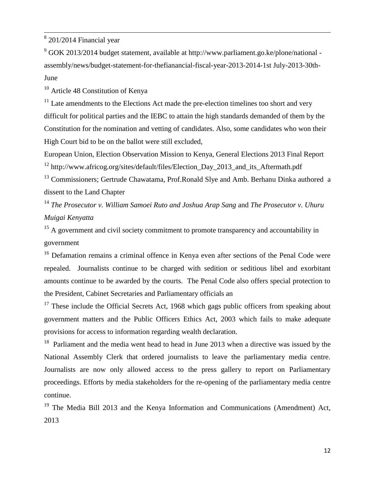$8201/2014$  Financial year

 $\overline{\phantom{a}}$ 

 $9^9$  GOK 2013/2014 budget statement, available at http://www.parliament.go.ke/plone/national assembly/news/budget-statement-for-thefianancial-fiscal-year-2013-2014-1st July-2013-30th-June

 $10$  Article 48 Constitution of Kenya

 $11$  Late amendments to the Elections Act made the pre-election timelines too short and very difficult for political parties and the IEBC to attain the high standards demanded of them by the Constitution for the nomination and vetting of candidates. Also, some candidates who won their High Court bid to be on the ballot were still excluded,

European Union, Election Observation Mission to Kenya, General Elections 2013 Final Report <sup>12</sup> http://www.africog.org/sites/default/files/Election\_Day\_2013\_and\_its\_Aftermath.pdf

<sup>13</sup> Commissioners; Gertrude Chawatama, Prof.Ronald Slye and Amb. Berhanu Dinka authored a dissent to the Land Chapter

<sup>14</sup> *The Prosecutor v. William Samoei Ruto and Joshua Arap Sang* and *The Prosecutor v. Uhuru Muigai Kenyatta*

 $15$  A government and civil society commitment to promote transparency and accountability in government

<sup>16</sup> Defamation remains a criminal offence in Kenya even after sections of the Penal Code were repealed. Journalists continue to be charged with sedition or seditious libel and exorbitant amounts continue to be awarded by the courts. The Penal Code also offers special protection to the President, Cabinet Secretaries and Parliamentary officials an

 $17$  These include the Official Secrets Act, 1968 which gags public officers from speaking about government matters and the Public Officers Ethics Act, 2003 which fails to make adequate provisions for access to information regarding wealth declaration.

<sup>18</sup> Parliament and the media went head to head in June 2013 when a directive was issued by the National Assembly Clerk that ordered journalists to leave the parliamentary media centre. Journalists are now only allowed access to the press gallery to report on Parliamentary proceedings. Efforts by media stakeholders for the re-opening of the parliamentary media centre continue.

<sup>19</sup> The Media Bill 2013 and the Kenya Information and Communications (Amendment) Act, 2013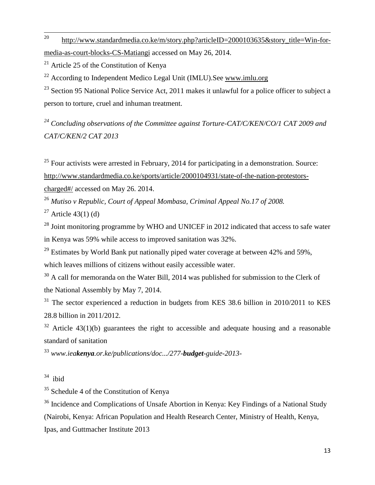20 [http://www.standardmedia.co.ke/m/story.php?articleID=2000103635&story\\_title=Win-for](http://www.standardmedia.co.ke/m/story.php?articleID=2000103635&story_title=Win-for-media-as-court-blocks-CS-Matiangi)[media-as-court-blocks-CS-Matiangi](http://www.standardmedia.co.ke/m/story.php?articleID=2000103635&story_title=Win-for-media-as-court-blocks-CS-Matiangi) accessed on May 26, 2014.

<sup>21</sup> Article 25 of the Constitution of Kenya

<sup>22</sup> According to Independent Medico Legal Unit (IMLU). See [www.imlu.org](http://www.imlu.org/)

 $^{23}$  Section 95 National Police Service Act, 2011 makes it unlawful for a police officer to subject a person to torture, cruel and inhuman treatment.

*<sup>24</sup> Concluding observations of the Committee against Torture-CAT/C/KEN/CO/1 CAT 2009 and CAT/C/KEN/2 CAT 2013*

 $25$  Four activists were arrested in February, 2014 for participating in a demonstration. Source: [http://www.standardmedia.co.ke/sports/article/2000104931/state-of-the-nation-protestors](http://www.standardmedia.co.ke/sports/article/2000104931/state-of-the-nation-protestors-charged#/)[charged#/](http://www.standardmedia.co.ke/sports/article/2000104931/state-of-the-nation-protestors-charged#/) accessed on May 26. 2014.

<sup>26</sup> *Mutiso v Republic, Court of Appeal Mombasa, Criminal Appeal No.17 of 2008.*

<sup>27</sup> Article 43(1) (d)

<sup>28</sup> Joint monitoring programme by WHO and UNICEF in 2012 indicated that access to safe water in Kenya was 59% while access to improved sanitation was 32%.

<sup>29</sup> Estimates by World Bank put nationally piped water coverage at between  $42\%$  and  $59\%$ , which leaves millions of citizens without easily accessible water.

 $30$  A call for memoranda on the Water Bill, 2014 was published for submission to the Clerk of the National Assembly by May 7, 2014.

 $31$  The sector experienced a reduction in budgets from KES 38.6 billion in 2010/2011 to KES 28.8 billion in 2011/2012.

 $32$  Article 43(1)(b) guarantees the right to accessible and adequate housing and a reasonable standard of sanitation

<sup>33</sup> *www.ieakenya.or.ke/publications/doc.../277-budget-guide-2013-*

 $34$  ibid

<sup>35</sup> Schedule 4 of the Constitution of Kenya

<sup>36</sup> Incidence and Complications of Unsafe Abortion in Kenya: Key Findings of a National Study (Nairobi, Kenya: African Population and Health Research Center, Ministry of Health, Kenya, Ipas, and Guttmacher Institute 2013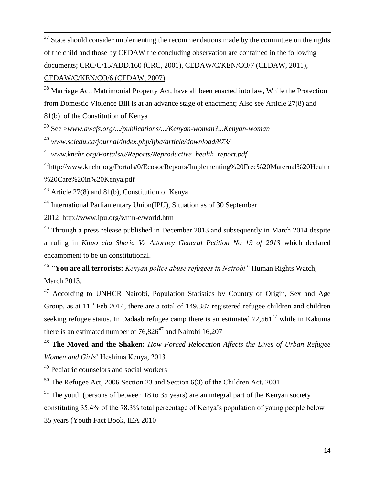$37$  State should consider implementing the recommendations made by the committee on the rights of the child and those by CEDAW the concluding observation are contained in the following documents; [CRC/C/15/ADD.160 \(CRC, 2001\),](http://uhri.ohchr.org/document/index/1745f531-db07-4cdb-84bc-85cba6b0ab6c) [CEDAW/C/KEN/CO/7 \(CEDAW, 2011\),](http://uhri.ohchr.org/document/index/f35b91df-ae03-4601-88d5-616b00f16c14) [CEDAW/C/KEN/CO/6 \(CEDAW, 2007\)](http://uhri.ohchr.org/document/index/b3c227bb-7101-4a69-a66b-7b993e4a7462)

<sup>38</sup> Marriage Act, Matrimonial Property Act, have all been enacted into law, While the Protection from Domestic Violence Bill is at an advance stage of enactment; Also see Article 27(8) and

81(b) of the Constitution of Kenya

 $\overline{\phantom{a}}$ 

<sup>39</sup> See >*www.awcfs.org/.../publications/.../Kenyan-woman?...Kenyan-woman*

<sup>40</sup> *www.sciedu.ca/journal/index.php/ijba/article/download/873/*

41 *www.knchr.org/Portals/0/Reports/Reproductive\_health\_report.pdf*

<sup>42</sup>http://www.knchr.org/Portals/0/EcosocReports/Implementing%20Free%20Maternal%20Health

%20Care%20in%20Kenya.pdf

 $43$  Article 27(8) and 81(b), Constitution of Kenya

<sup>44</sup> International Parliamentary Union(IPU), Situation as of 30 September

2012 http://www.ipu.org/wmn-e/world.htm

<sup>45</sup> Through a press release published in December 2013 and subsequently in March 2014 despite a ruling in *Kituo cha Sheria Vs Attorney General Petition No 19 of 2013* which declared encampment to be un constitutional.

46 *"***You are all terrorists:** *Kenyan police abuse refugees in Nairobi"* Human Rights Watch, March 2013.

<sup>47</sup> According to UNHCR Nairobi, Population Statistics by Country of Origin, Sex and Age Group, as at  $11<sup>th</sup>$  Feb 2014, there are a total of 149,387 registered refugee children and children seeking refugee status. In Dadaab refugee camp there is an estimated  $72,561^{47}$  while in Kakuma there is an estimated number of  $76.826^{47}$  and Nairobi 16,207

<sup>48</sup> **The Moved and the Shaken:** *How Forced Relocation Affects the Lives of Urban Refugee Women and Girls*' Heshima Kenya, 2013

<sup>49</sup> Pediatric counselors and social workers

<sup>50</sup> The Refugee Act, 2006 Section 23 and Section 6(3) of the Children Act, 2001

 $<sup>51</sup>$  The youth (persons of between 18 to 35 years) are an integral part of the Kenyan society</sup> constituting 35.4% of the 78.3% total percentage of Kenya's population of young people below 35 years (Youth Fact Book, IEA 2010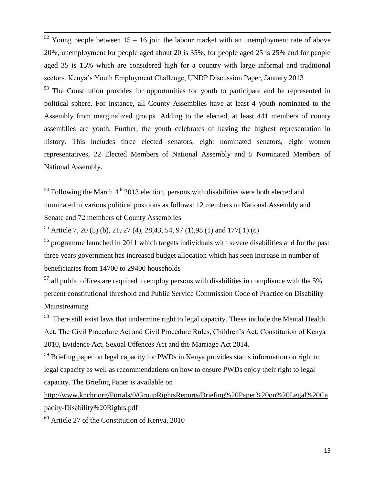$52$  Young people between 15 – 16 join the labour market with an unemployment rate of above 20%, unemployment for people aged about 20 is 35%, for people aged 25 is 25% and for people aged 35 is 15% which are considered high for a country with large informal and traditional sectors. Kenya's Youth Employment Challenge, UNDP Discussion Paper, January 2013

 $53$  The Constitution provides for opportunities for youth to participate and be represented in political sphere. For instance, all County Assemblies have at least 4 youth nominated to the Assembly from marginalized groups. Adding to the elected, at least 441 members of county assemblies are youth. Further, the youth celebrates of having the highest representation in history. This includes three elected senators, eight nominated senators, eight women representatives, 22 Elected Members of National Assembly and 5 Nominated Members of National Assembly.

 $54$  Following the March  $4<sup>th</sup>$  2013 election, persons with disabilities were both elected and nominated in various political positions as follows: 12 members to National Assembly and Senate and 72 members of County Assemblies

 $55$  Article 7, 20 (5) (b), 21, 27 (4), 28, 43, 54, 97 (1), 98 (1) and 177 (1) (c)

 $\overline{\phantom{a}}$ 

<sup>56</sup> programme launched in 2011 which targets individuals with severe disabilities and for the past three years government has increased budget allocation which has seen increase in number of beneficiaries from 14700 to 29400 households

 $57$  all public offices are required to employ persons with disabilities in compliance with the 5% percent constitutional threshold and Public Service Commission Code of Practice on Disability Mainstreaming

 $58$  There still exist laws that undermine right to legal capacity. These include the Mental Health Act, The Civil Procedure Act and Civil Procedure Rules, Children's Act, Constitution of Kenya 2010, Evidence Act, Sexual Offences Act and the Marriage Act 2014.

<sup>59</sup> Briefing paper on legal capacity for PWDs in Kenya provides status information on right to legal capacity as well as recommendations on how to ensure PWDs enjoy their right to legal capacity. The Briefing Paper is available on

[http://www.knchr.org/Portals/0/GroupRightsReports/Briefing%20Paper%20on%20Legal%20Ca](http://www.knchr.org/Portals/0/GroupRightsReports/Briefing%20Paper%20on%20Legal%20Capacity-Disability%20Rights.pdf) [pacity-Disability%20Rights.pdf](http://www.knchr.org/Portals/0/GroupRightsReports/Briefing%20Paper%20on%20Legal%20Capacity-Disability%20Rights.pdf)

 $60$  Article 27 of the Constitution of Kenya, 2010